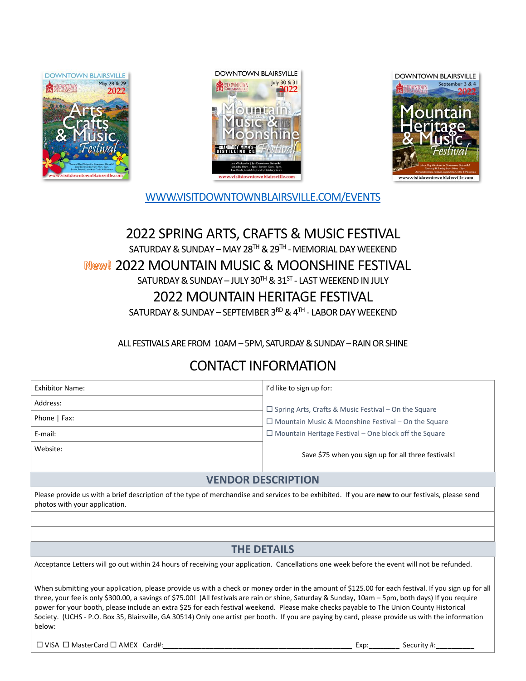





[WWW.VISITDOWNTOWNBLAIRSVILLE.COM/EVENTS](http://www.visitdowntownblairsville.com/events)

## 2022 SPRING ARTS, CRAFTS & MUSIC FESTIVAL SATURDAY & SUNDAY – MAY 28™ & 29™ - MEMORIAL DAY WEEKEND 2022 MOUNTAIN MUSIC & MOONSHINE FESTIVAL  $\mathsf{SATURDAY}\ \&\ \mathsf{SUNDAY} - \mathsf{JULY}\ 30^{\mathsf{TH}}\ \&\ 31^{\mathsf{ST}}$  -  $\mathsf{LAST}\ \mathsf{WEEKEND}\ \mathsf{IN}\ \mathsf{JULY}$ 2022 MOUNTAIN HERITAGE FESTIVAL

SATURDAY & SUNDAY – SEPTEMBER 3 $^{\text{RD}}$  & 4 $^{\text{TH}}$  - LABOR DAY WEEKEND

ALL FESTIVALS ARE FROM 10AM – 5PM, SATURDAY& SUNDAY – RAIN OR SHINE

# CONTACT INFORMATION

| Exhibitor Name: | I'd like to sign up for:                                     |
|-----------------|--------------------------------------------------------------|
| Address:        | $\Box$ Spring Arts, Crafts & Music Festival - On the Square  |
| Phone   Fax:    | $\Box$ Mountain Music & Moonshine Festival – On the Square   |
| E-mail:         | $\Box$ Mountain Heritage Festival – One block off the Square |
| Website:        | Save \$75 when you sign up for all three festivals!          |

## **VENDOR DESCRIPTION**

Please provide us with a brief description of the type of merchandise and services to be exhibited. If you are **new** to our festivals, please send photos with your application.

## **THE DETAILS**

Acceptance Letters will go out within 24 hours of receiving your application. Cancellations one week before the event will not be refunded.

When submitting your application, please provide us with a check or money order in the amount of \$125.00 for each festival. If you sign up for all three, your fee is only \$300.00, a savings of \$75.00! (All festivals are rain or shine, Saturday & Sunday, 10am – 5pm, both days) If you require power for your booth, please include an extra \$25 for each festival weekend. Please make checks payable to The Union County Historical Society. (UCHS - P.O. Box 35, Blairsville, GA 30514) Only one artist per booth. If you are paying by card, please provide us with the information below:

VISA MasterCard AMEX Card#:\_\_\_\_\_\_\_\_\_\_\_\_\_\_\_\_\_\_\_\_\_\_\_\_\_\_\_\_\_\_\_\_\_\_\_\_\_\_\_\_\_\_\_\_\_\_\_\_\_ Exp:\_\_\_\_\_\_\_\_ Security #:\_\_\_\_\_\_\_\_\_\_